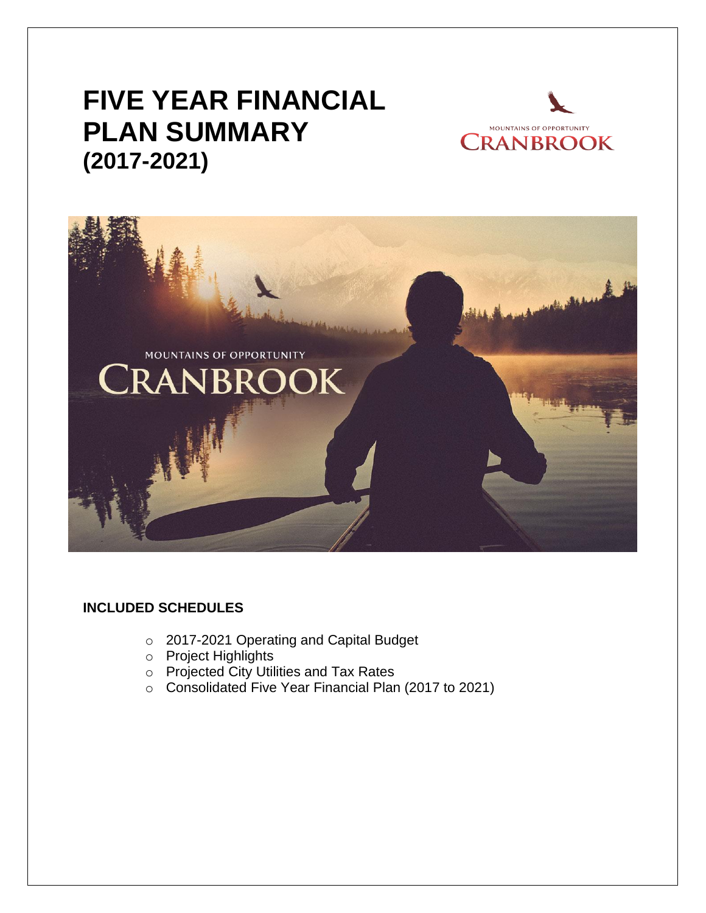# **FIVE YEAR FINANCIAL PLAN SUMMARY (2017-2021)**





# **INCLUDED SCHEDULES**

- o 2017-2021 Operating and Capital Budget
- o Project Highlights
- o Projected City Utilities and Tax Rates
- o Consolidated Five Year Financial Plan (2017 to 2021)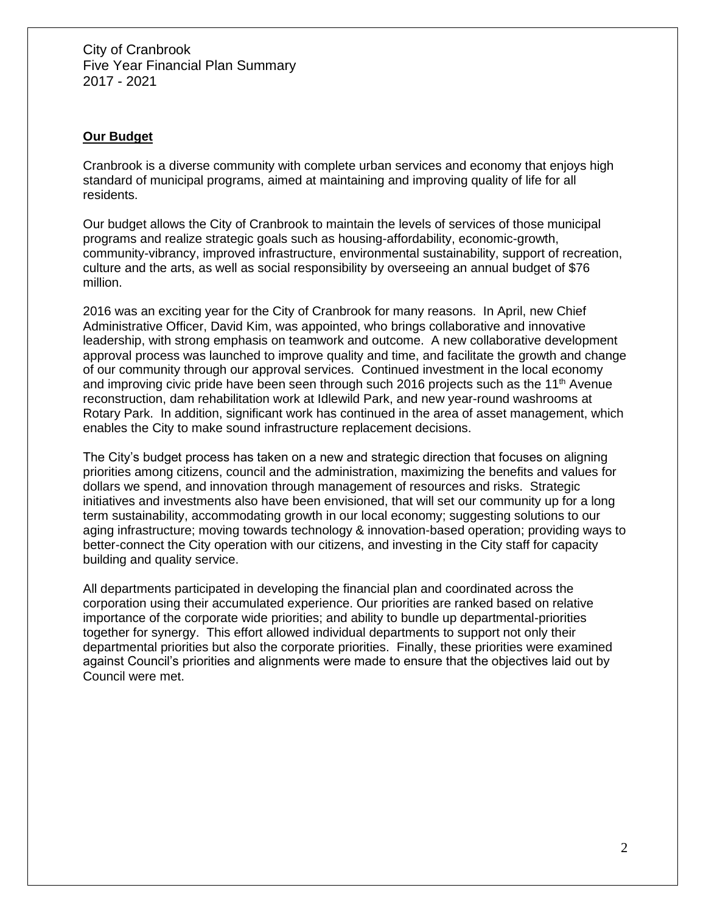## **Our Budget**

Cranbrook is a diverse community with complete urban services and economy that enjoys high standard of municipal programs, aimed at maintaining and improving quality of life for all residents.

Our budget allows the City of Cranbrook to maintain the levels of services of those municipal programs and realize strategic goals such as housing-affordability, economic-growth, community-vibrancy, improved infrastructure, environmental sustainability, support of recreation, culture and the arts, as well as social responsibility by overseeing an annual budget of \$76 million.

2016 was an exciting year for the City of Cranbrook for many reasons. In April, new Chief Administrative Officer, David Kim, was appointed, who brings collaborative and innovative leadership, with strong emphasis on teamwork and outcome. A new collaborative development approval process was launched to improve quality and time, and facilitate the growth and change of our community through our approval services. Continued investment in the local economy and improving civic pride have been seen through such 2016 projects such as the 11<sup>th</sup> Avenue reconstruction, dam rehabilitation work at Idlewild Park, and new year-round washrooms at Rotary Park. In addition, significant work has continued in the area of asset management, which enables the City to make sound infrastructure replacement decisions.

The City's budget process has taken on a new and strategic direction that focuses on aligning priorities among citizens, council and the administration, maximizing the benefits and values for dollars we spend, and innovation through management of resources and risks. Strategic initiatives and investments also have been envisioned, that will set our community up for a long term sustainability, accommodating growth in our local economy; suggesting solutions to our aging infrastructure; moving towards technology & innovation-based operation; providing ways to better-connect the City operation with our citizens, and investing in the City staff for capacity building and quality service.

All departments participated in developing the financial plan and coordinated across the corporation using their accumulated experience. Our priorities are ranked based on relative importance of the corporate wide priorities; and ability to bundle up departmental-priorities together for synergy. This effort allowed individual departments to support not only their departmental priorities but also the corporate priorities. Finally, these priorities were examined against Council's priorities and alignments were made to ensure that the objectives laid out by Council were met.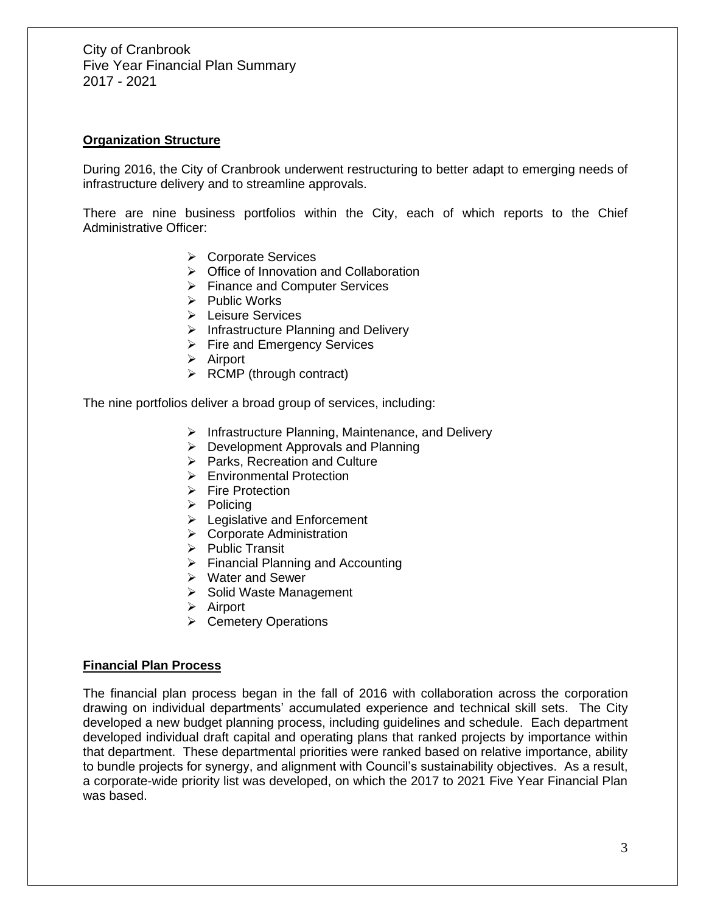#### **Organization Structure**

During 2016, the City of Cranbrook underwent restructuring to better adapt to emerging needs of infrastructure delivery and to streamline approvals.

There are nine business portfolios within the City, each of which reports to the Chief Administrative Officer:

- ➢ Corporate Services
- ➢ Office of Innovation and Collaboration
- ➢ Finance and Computer Services
- ➢ Public Works
- ➢ Leisure Services
- ➢ Infrastructure Planning and Delivery
- ➢ Fire and Emergency Services
- ➢ Airport
- $\triangleright$  RCMP (through contract)

The nine portfolios deliver a broad group of services, including:

- ➢ Infrastructure Planning, Maintenance, and Delivery
- ➢ Development Approvals and Planning
- ➢ Parks, Recreation and Culture
- ➢ Environmental Protection
- ➢ Fire Protection
- ➢ Policing
- ➢ Legislative and Enforcement
- ➢ Corporate Administration
- ➢ Public Transit
- ➢ Financial Planning and Accounting
- ➢ Water and Sewer
- ➢ Solid Waste Management
- ➢ Airport
- ➢ Cemetery Operations

#### **Financial Plan Process**

The financial plan process began in the fall of 2016 with collaboration across the corporation drawing on individual departments' accumulated experience and technical skill sets. The City developed a new budget planning process, including guidelines and schedule. Each department developed individual draft capital and operating plans that ranked projects by importance within that department. These departmental priorities were ranked based on relative importance, ability to bundle projects for synergy, and alignment with Council's sustainability objectives. As a result, a corporate-wide priority list was developed, on which the 2017 to 2021 Five Year Financial Plan was based.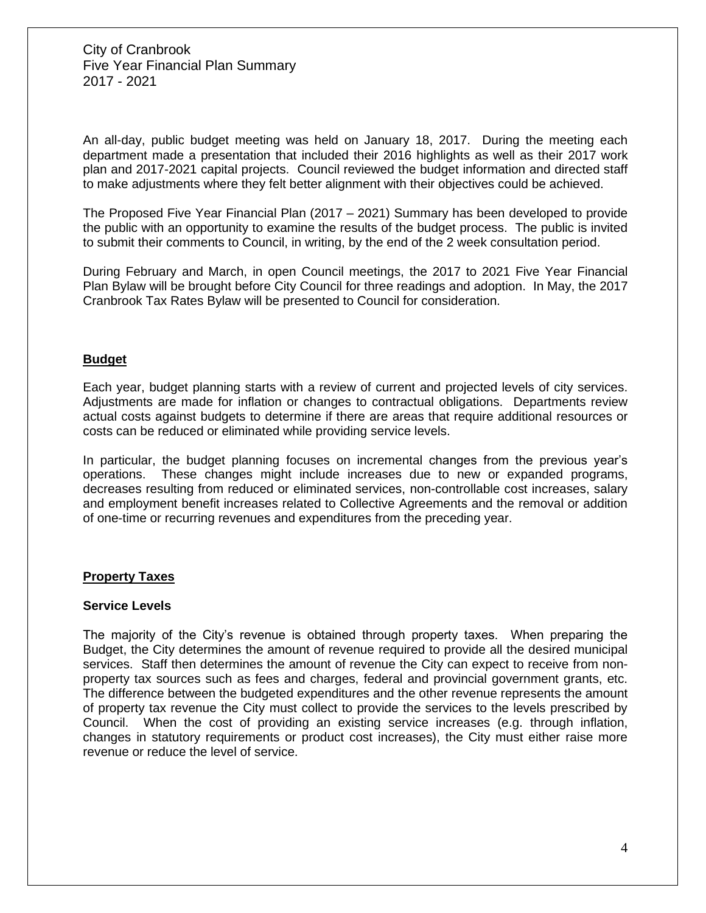An all-day, public budget meeting was held on January 18, 2017. During the meeting each department made a presentation that included their 2016 highlights as well as their 2017 work plan and 2017-2021 capital projects. Council reviewed the budget information and directed staff to make adjustments where they felt better alignment with their objectives could be achieved.

The Proposed Five Year Financial Plan (2017 – 2021) Summary has been developed to provide the public with an opportunity to examine the results of the budget process. The public is invited to submit their comments to Council, in writing, by the end of the 2 week consultation period.

During February and March, in open Council meetings, the 2017 to 2021 Five Year Financial Plan Bylaw will be brought before City Council for three readings and adoption. In May, the 2017 Cranbrook Tax Rates Bylaw will be presented to Council for consideration.

#### **Budget**

Each year, budget planning starts with a review of current and projected levels of city services. Adjustments are made for inflation or changes to contractual obligations. Departments review actual costs against budgets to determine if there are areas that require additional resources or costs can be reduced or eliminated while providing service levels.

In particular, the budget planning focuses on incremental changes from the previous year's operations. These changes might include increases due to new or expanded programs, decreases resulting from reduced or eliminated services, non-controllable cost increases, salary and employment benefit increases related to Collective Agreements and the removal or addition of one-time or recurring revenues and expenditures from the preceding year.

#### **Property Taxes**

#### **Service Levels**

The majority of the City's revenue is obtained through property taxes. When preparing the Budget, the City determines the amount of revenue required to provide all the desired municipal services. Staff then determines the amount of revenue the City can expect to receive from nonproperty tax sources such as fees and charges, federal and provincial government grants, etc. The difference between the budgeted expenditures and the other revenue represents the amount of property tax revenue the City must collect to provide the services to the levels prescribed by Council. When the cost of providing an existing service increases (e.g. through inflation, changes in statutory requirements or product cost increases), the City must either raise more revenue or reduce the level of service.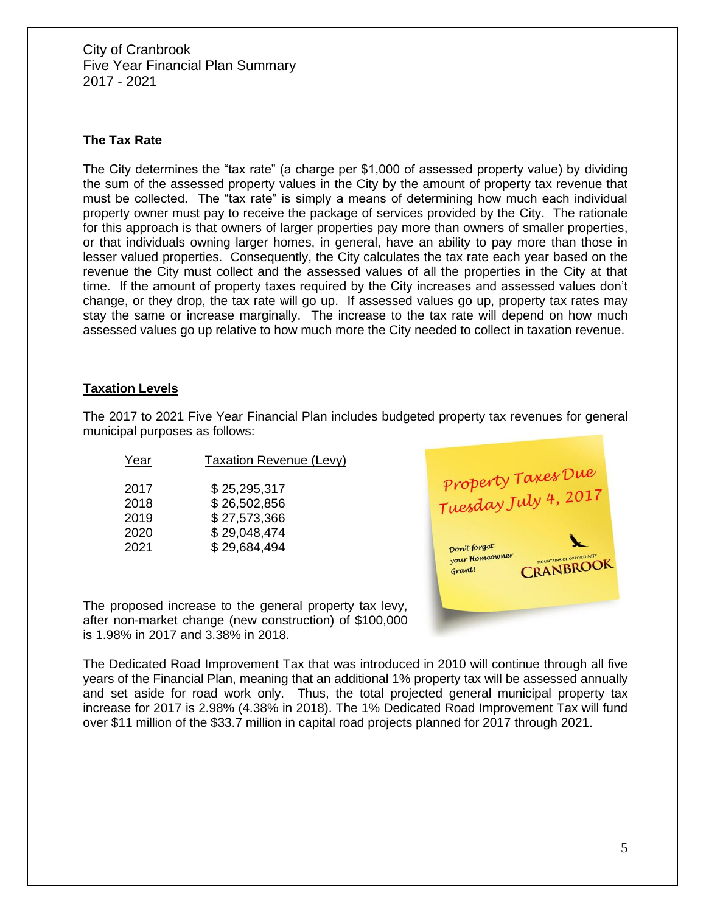#### **The Tax Rate**

The City determines the "tax rate" (a charge per \$1,000 of assessed property value) by dividing the sum of the assessed property values in the City by the amount of property tax revenue that must be collected. The "tax rate" is simply a means of determining how much each individual property owner must pay to receive the package of services provided by the City. The rationale for this approach is that owners of larger properties pay more than owners of smaller properties, or that individuals owning larger homes, in general, have an ability to pay more than those in lesser valued properties. Consequently, the City calculates the tax rate each year based on the revenue the City must collect and the assessed values of all the properties in the City at that time. If the amount of property taxes required by the City increases and assessed values don't change, or they drop, the tax rate will go up. If assessed values go up, property tax rates may stay the same or increase marginally. The increase to the tax rate will depend on how much assessed values go up relative to how much more the City needed to collect in taxation revenue.

#### **Taxation Levels**

The 2017 to 2021 Five Year Financial Plan includes budgeted property tax revenues for general municipal purposes as follows:

| Year | Taxation Revenue (Levy) |
|------|-------------------------|
| 2017 | \$25,295,317            |
| 2018 | \$26,502,856            |
| 2019 | \$27,573,366            |
| 2020 | \$29,048,474            |
| 2021 | \$29,684,494            |



The proposed increase to the general property tax levy, after non-market change (new construction) of \$100,000 is 1.98% in 2017 and 3.38% in 2018.

The Dedicated Road Improvement Tax that was introduced in 2010 will continue through all five years of the Financial Plan, meaning that an additional 1% property tax will be assessed annually and set aside for road work only. Thus, the total projected general municipal property tax increase for 2017 is 2.98% (4.38% in 2018). The 1% Dedicated Road Improvement Tax will fund over \$11 million of the \$33.7 million in capital road projects planned for 2017 through 2021.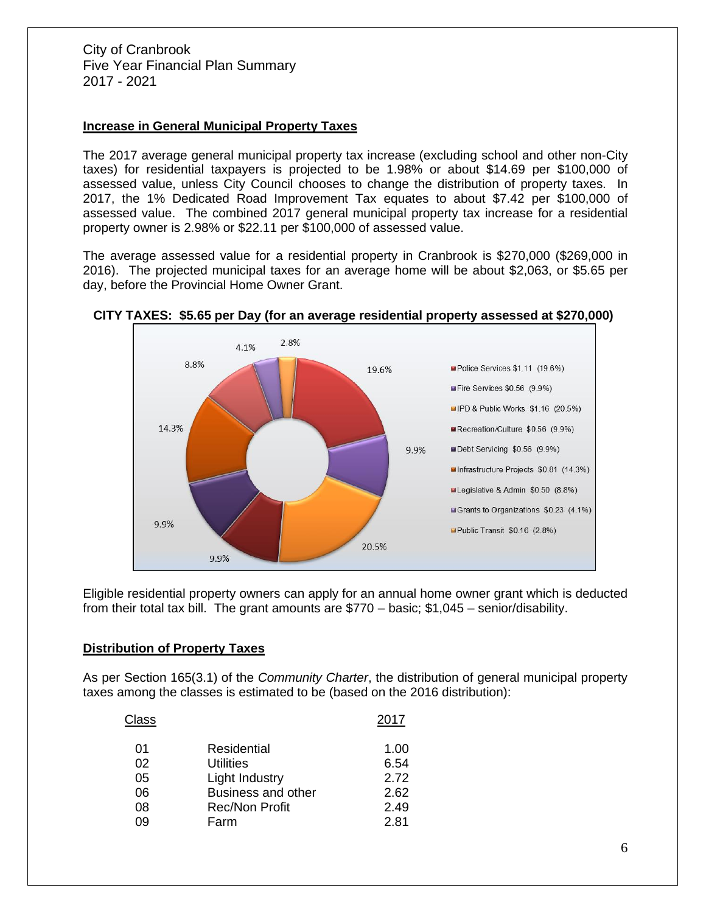## **Increase in General Municipal Property Taxes**

The 2017 average general municipal property tax increase (excluding school and other non-City taxes) for residential taxpayers is projected to be 1.98% or about \$14.69 per \$100,000 of assessed value, unless City Council chooses to change the distribution of property taxes. In 2017, the 1% Dedicated Road Improvement Tax equates to about \$7.42 per \$100,000 of assessed value. The combined 2017 general municipal property tax increase for a residential property owner is 2.98% or \$22.11 per \$100,000 of assessed value.

The average assessed value for a residential property in Cranbrook is \$270,000 (\$269,000 in 2016). The projected municipal taxes for an average home will be about \$2,063, or \$5.65 per day, before the Provincial Home Owner Grant.



## **CITY TAXES: \$5.65 per Day (for an average residential property assessed at \$270,000)**

Eligible residential property owners can apply for an annual home owner grant which is deducted from their total tax bill. The grant amounts are \$770 – basic; \$1,045 – senior/disability.

## **Distribution of Property Taxes**

As per Section 165(3.1) of the *Community Charter*, the distribution of general municipal property taxes among the classes is estimated to be (based on the 2016 distribution):

| Class |                       | 2017 |
|-------|-----------------------|------|
| 01    | Residential           | 1.00 |
| 02    | <b>Utilities</b>      | 6.54 |
| 05    | Light Industry        | 2.72 |
| 06    | Business and other    | 2.62 |
| 08    | <b>Rec/Non Profit</b> | 2.49 |
| 09    | Farm                  | 2.81 |
|       |                       |      |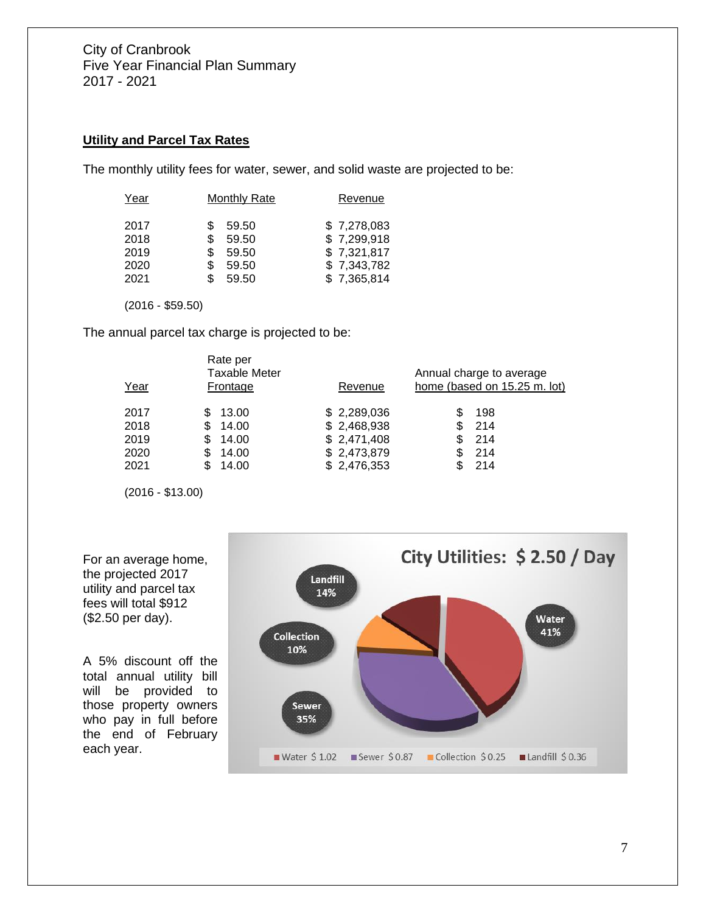## **Utility and Parcel Tax Rates**

The monthly utility fees for water, sewer, and solid waste are projected to be:

| Year | <b>Monthly Rate</b> | Revenue     |
|------|---------------------|-------------|
| 2017 | \$<br>59.50         | \$7,278,083 |
| 2018 | \$<br>59.50         | \$7,299,918 |
| 2019 | \$<br>59.50         | \$7,321,817 |
| 2020 | \$<br>59.50         | \$7,343,782 |
| 2021 | \$<br>59.50         | \$7,365,814 |

(2016 - \$59.50)

The annual parcel tax charge is projected to be:

| Rate per<br>Taxable Meter<br>Year<br>Frontage |                                                                 | Revenue                                                                 | Annual charge to average<br>home (based on 15.25 m. lot) |  |  |
|-----------------------------------------------|-----------------------------------------------------------------|-------------------------------------------------------------------------|----------------------------------------------------------|--|--|
| 2017<br>2018<br>2019<br>2020<br>2021          | 13.00<br>14.00<br>\$<br>14.00<br>\$<br>14.00<br>S<br>14.00<br>S | \$2,289,036<br>\$2,468,938<br>\$2,471,408<br>\$2,473,879<br>\$2,476,353 | 198<br>214<br>214<br>-214<br>\$<br>-214                  |  |  |

(2016 - \$13.00)



For an average home, the projected 2017 utility and parcel tax fees will total \$912 (\$2.50 per day).

A 5% discount off the total annual utility bill will be provided to those property owners who pay in full before the end of February each year.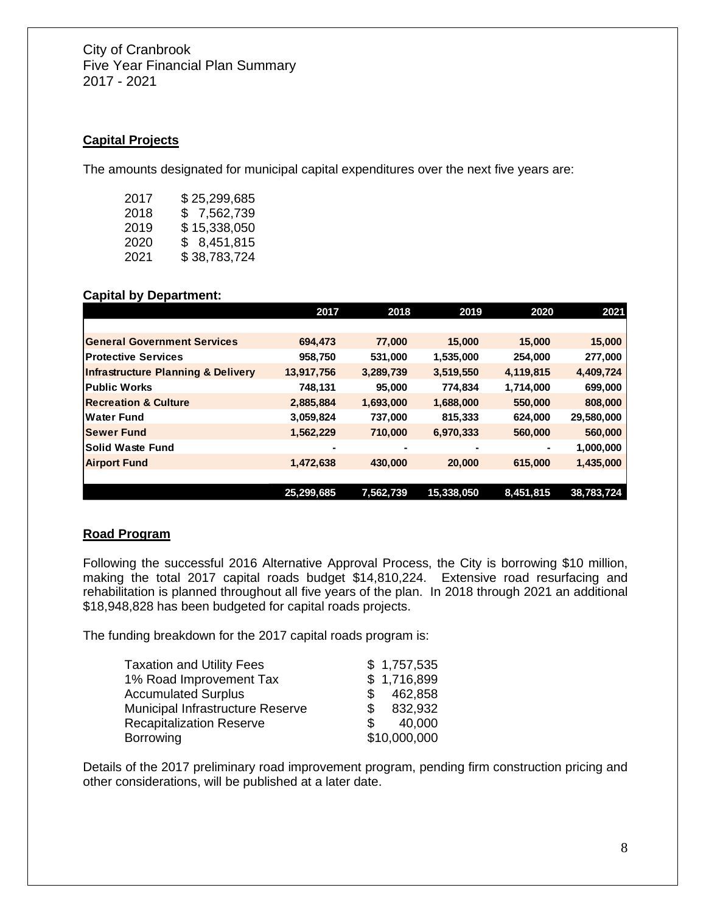## **Capital Projects**

The amounts designated for municipal capital expenditures over the next five years are:

| 2017 | \$25,299,685 |
|------|--------------|
| 2018 | \$7,562,739  |
| 2019 | \$15,338,050 |
| 2020 | \$ 8,451,815 |
| 2021 | \$38,783,724 |

#### **Capital by Department:**

|                                               | 2017           | 2018           | 2019           | 2020           | 2021       |
|-----------------------------------------------|----------------|----------------|----------------|----------------|------------|
|                                               |                |                |                |                |            |
| <b>General Government Services</b>            | 694,473        | 77,000         | 15,000         | 15,000         | 15,000     |
| <b>Protective Services</b>                    | 958,750        | 531,000        | 1,535,000      | 254,000        | 277,000    |
| <b>Infrastructure Planning &amp; Delivery</b> | 13,917,756     | 3,289,739      | 3,519,550      | 4,119,815      | 4,409,724  |
| <b>Public Works</b>                           | 748,131        | 95,000         | 774,834        | 1,714,000      | 699,000    |
| <b>Recreation &amp; Culture</b>               | 2,885,884      | 1,693,000      | 1,688,000      | 550,000        | 808,000    |
| <b>Water Fund</b>                             | 3,059,824      | 737,000        | 815,333        | 624,000        | 29,580,000 |
| <b>Sewer Fund</b>                             | 1,562,229      | 710,000        | 6,970,333      | 560,000        | 560,000    |
| <b>Solid Waste Fund</b>                       | $\blacksquare$ | $\blacksquare$ | $\blacksquare$ | $\blacksquare$ | 1,000,000  |
| <b>Airport Fund</b>                           | 1,472,638      | 430,000        | 20,000         | 615,000        | 1,435,000  |
|                                               |                |                |                |                |            |
|                                               | 25,299,685     | 7,562,739      | 15,338,050     | 8,451,815      | 38,783,724 |

## **Road Program**

Following the successful 2016 Alternative Approval Process, the City is borrowing \$10 million, making the total 2017 capital roads budget \$14,810,224. Extensive road resurfacing and rehabilitation is planned throughout all five years of the plan. In 2018 through 2021 an additional \$18,948,828 has been budgeted for capital roads projects.

The funding breakdown for the 2017 capital roads program is:

| <b>Taxation and Utility Fees</b> | \$1,757,535   |
|----------------------------------|---------------|
| 1% Road Improvement Tax          | \$1,716,899   |
| <b>Accumulated Surplus</b>       | 462,858<br>\$ |
| Municipal Infrastructure Reserve | 832,932<br>\$ |
| <b>Recapitalization Reserve</b>  | 40,000<br>\$. |
| <b>Borrowing</b>                 | \$10,000,000  |

Details of the 2017 preliminary road improvement program, pending firm construction pricing and other considerations, will be published at a later date.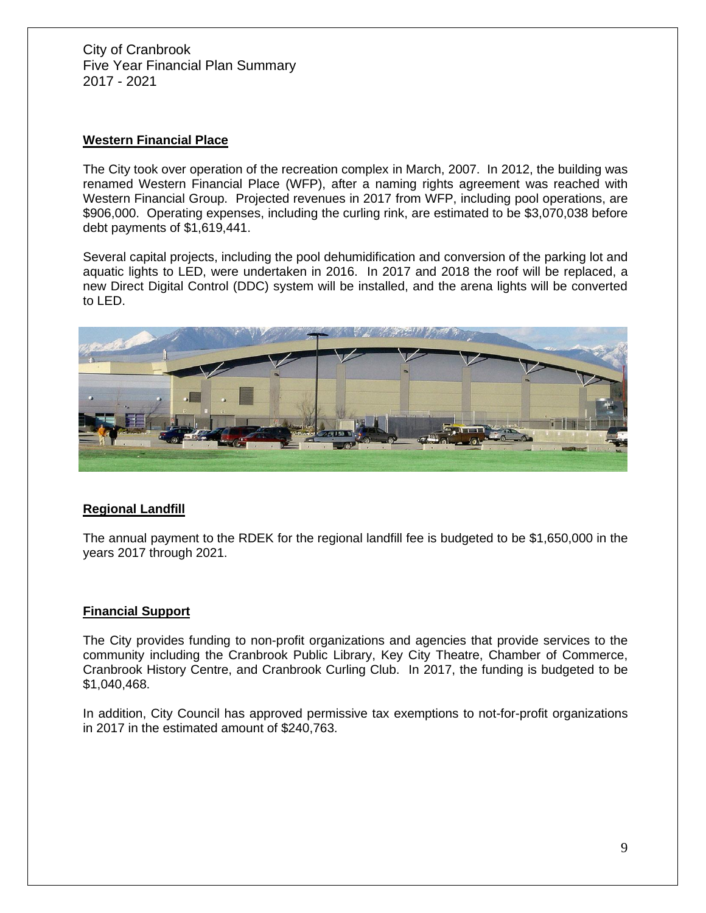## **Western Financial Place**

The City took over operation of the recreation complex in March, 2007. In 2012, the building was renamed Western Financial Place (WFP), after a naming rights agreement was reached with Western Financial Group. Projected revenues in 2017 from WFP, including pool operations, are \$906,000. Operating expenses, including the curling rink, are estimated to be \$3,070,038 before debt payments of \$1,619,441.

Several capital projects, including the pool dehumidification and conversion of the parking lot and aquatic lights to LED, were undertaken in 2016. In 2017 and 2018 the roof will be replaced, a new Direct Digital Control (DDC) system will be installed, and the arena lights will be converted to LED.



## **Regional Landfill**

The annual payment to the RDEK for the regional landfill fee is budgeted to be \$1,650,000 in the years 2017 through 2021.

## **Financial Support**

The City provides funding to non-profit organizations and agencies that provide services to the community including the Cranbrook Public Library, Key City Theatre, Chamber of Commerce, Cranbrook History Centre, and Cranbrook Curling Club. In 2017, the funding is budgeted to be \$1,040,468.

In addition, City Council has approved permissive tax exemptions to not-for-profit organizations in 2017 in the estimated amount of \$240,763.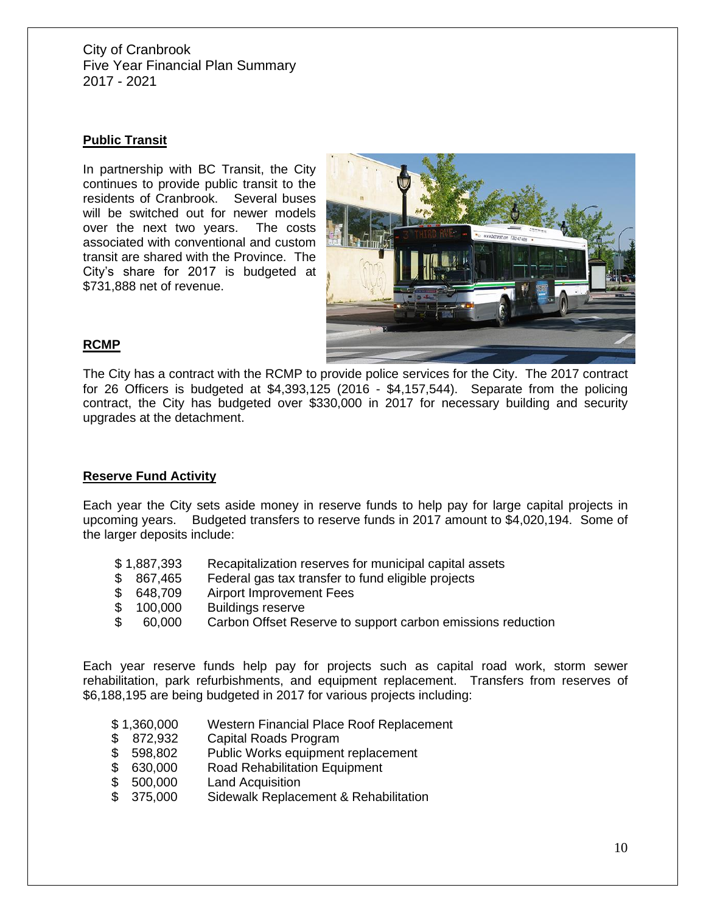## **Public Transit**

In partnership with BC Transit, the City continues to provide public transit to the residents of Cranbrook. Several buses will be switched out for newer models over the next two years. The costs associated with conventional and custom transit are shared with the Province. The City's share for 2017 is budgeted at \$731,888 net of revenue.



## **RCMP**

The City has a contract with the RCMP to provide police services for the City. The 2017 contract for 26 Officers is budgeted at \$4,393,125 (2016 - \$4,157,544). Separate from the policing contract, the City has budgeted over \$330,000 in 2017 for necessary building and security upgrades at the detachment.

#### **Reserve Fund Activity**

Each year the City sets aside money in reserve funds to help pay for large capital projects in upcoming years. Budgeted transfers to reserve funds in 2017 amount to \$4,020,194. Some of the larger deposits include:

- \$ 1,887,393 Recapitalization reserves for municipal capital assets
- \$ 867,465 Federal gas tax transfer to fund eligible projects
- \$ 648,709 Airport Improvement Fees
- \$ 100,000 Buildings reserve
- \$ 60,000 Carbon Offset Reserve to support carbon emissions reduction

Each year reserve funds help pay for projects such as capital road work, storm sewer rehabilitation, park refurbishments, and equipment replacement. Transfers from reserves of \$6,188,195 are being budgeted in 2017 for various projects including:

- \$ 1,360,000 Western Financial Place Roof Replacement
- \$ 872,932 Capital Roads Program
- \$ 598,802 Public Works equipment replacement<br>\$ 630,000 Road Rehabilitation Equipment
- \$ 630,000 Road Rehabilitation Equipment<br>\$ 500,000 Land Acquisition
- \$ 500,000 Land Acquisition
- \$ 375,000 Sidewalk Replacement & Rehabilitation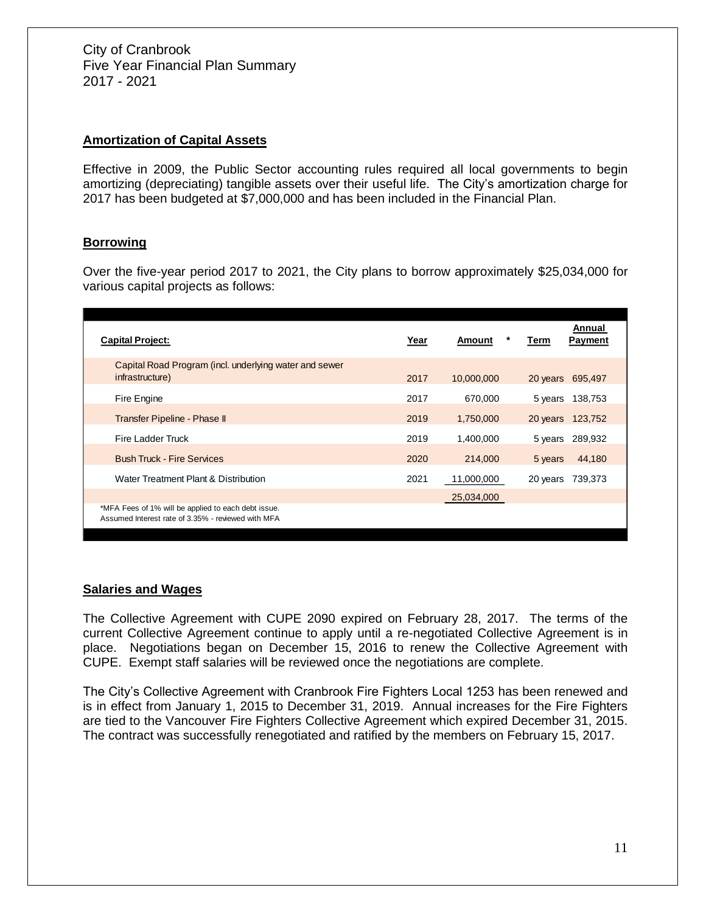#### **Amortization of Capital Assets**

Effective in 2009, the Public Sector accounting rules required all local governments to begin amortizing (depreciating) tangible assets over their useful life. The City's amortization charge for 2017 has been budgeted at \$7,000,000 and has been included in the Financial Plan.

#### **Borrowing**

Over the five-year period 2017 to 2021, the City plans to borrow approximately \$25,034,000 for various capital projects as follows:

| <b>Capital Project:</b>                                                                                   | Year | Amount     | Annual<br><b>Payment</b><br>Term |
|-----------------------------------------------------------------------------------------------------------|------|------------|----------------------------------|
| Capital Road Program (incl. underlying water and sewer<br>infrastructure)                                 | 2017 | 10,000,000 | 20 years 695,497                 |
| Fire Engine                                                                                               | 2017 | 670.000    | 138,753<br>5 years               |
| Transfer Pipeline - Phase II                                                                              | 2019 | 1,750,000  | 20 years<br>123,752              |
| Fire Ladder Truck                                                                                         | 2019 | 1,400,000  | 289,932<br>5 years               |
| <b>Bush Truck - Fire Services</b>                                                                         | 2020 | 214,000    | 44,180<br>5 years                |
| Water Treatment Plant & Distribution                                                                      | 2021 | 11,000,000 | 20 years<br>739,373              |
|                                                                                                           |      | 25,034,000 |                                  |
| *MFA Fees of 1% will be applied to each debt issue.<br>Assumed Interest rate of 3.35% - reviewed with MFA |      |            |                                  |

#### **Salaries and Wages**

The Collective Agreement with CUPE 2090 expired on February 28, 2017. The terms of the current Collective Agreement continue to apply until a re-negotiated Collective Agreement is in place. Negotiations began on December 15, 2016 to renew the Collective Agreement with CUPE. Exempt staff salaries will be reviewed once the negotiations are complete.

The City's Collective Agreement with Cranbrook Fire Fighters Local 1253 has been renewed and is in effect from January 1, 2015 to December 31, 2019. Annual increases for the Fire Fighters are tied to the Vancouver Fire Fighters Collective Agreement which expired December 31, 2015. The contract was successfully renegotiated and ratified by the members on February 15, 2017.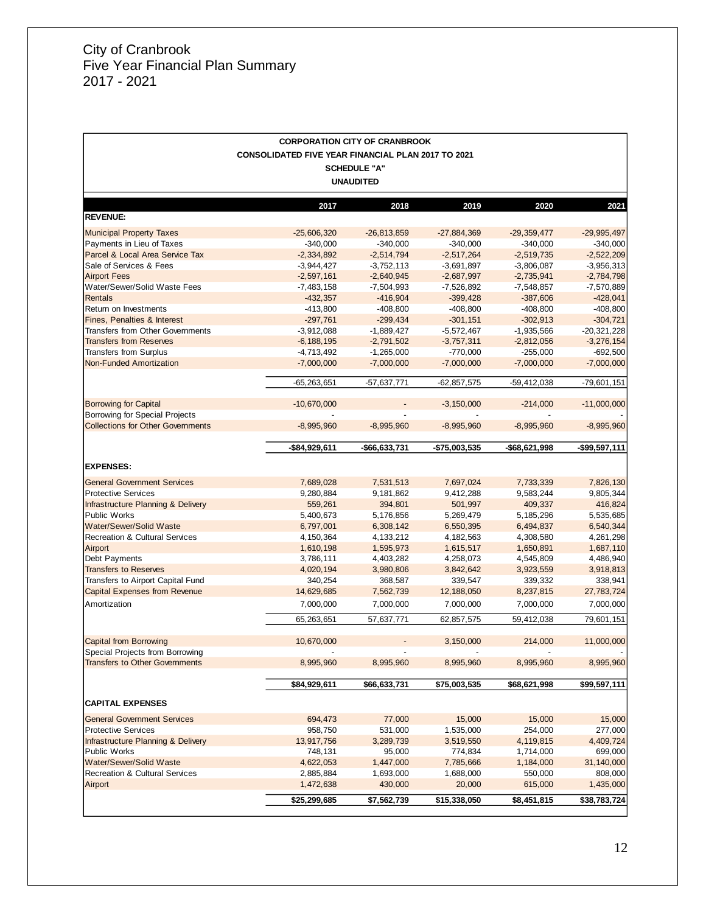|                                           |                                                           | <b>CORPORATION CITY OF CRANBROOK</b> |                 |               |                |
|-------------------------------------------|-----------------------------------------------------------|--------------------------------------|-----------------|---------------|----------------|
|                                           | <b>CONSOLIDATED FIVE YEAR FINANCIAL PLAN 2017 TO 2021</b> |                                      |                 |               |                |
|                                           |                                                           | <b>SCHEDULE "A"</b>                  |                 |               |                |
|                                           |                                                           | <b>UNAUDITED</b>                     |                 |               |                |
|                                           |                                                           |                                      |                 |               |                |
|                                           | 2017                                                      | 2018                                 | 2019            | 2020          | 2021           |
| <b>REVENUE:</b>                           |                                                           |                                      |                 |               |                |
| <b>Municipal Property Taxes</b>           | $-25,606,320$                                             | $-26,813,859$                        | $-27,884,369$   | $-29,359,477$ | $-29,995,497$  |
| Payments in Lieu of Taxes                 | $-340,000$                                                | $-340,000$                           | $-340,000$      | $-340,000$    | $-340,000$     |
| Parcel & Local Area Service Tax           | $-2,334,892$                                              | $-2,514,794$                         | $-2,517,264$    | $-2,519,735$  | $-2,522,209$   |
| Sale of Services & Fees                   | $-3,944,427$                                              | $-3,752,113$                         | $-3,691,897$    | $-3,806,087$  | $-3,956,313$   |
| <b>Airport Fees</b>                       | $-2,597,161$                                              | $-2,640,945$                         | $-2,687,997$    | $-2,735,941$  | $-2,784,798$   |
| Water/Sewer/Solid Waste Fees              | $-7,483,158$                                              | $-7,504,993$                         | $-7,526,892$    | $-7,548,857$  | -7,570,889     |
| <b>Rentals</b>                            | $-432,357$                                                | $-416,904$                           | $-399,428$      | $-387,606$    | $-428,041$     |
| Return on Investments                     | $-413,800$                                                | $-408,800$                           | $-408,800$      | $-408,800$    | $-408,800$     |
| <b>Fines, Penalties &amp; Interest</b>    | $-297,761$                                                | $-299,434$                           | $-301,151$      | $-302,913$    | $-304,721$     |
| <b>Transfers from Other Governments</b>   | $-3,912,088$                                              | $-1,889,427$                         | $-5,572,467$    | $-1,935,566$  | $-20,321,228$  |
| <b>Transfers from Reserves</b>            | $-6, 188, 195$                                            | $-2,791,502$                         | $-3,757,311$    | $-2,812,056$  | $-3,276,154$   |
| <b>Transfers from Surplus</b>             | $-4,713,492$                                              | $-1,265,000$                         | $-770,000$      | $-255,000$    | $-692,500$     |
| <b>Non-Funded Amortization</b>            | $-7,000,000$                                              | $-7,000,000$                         | $-7,000,000$    | $-7,000,000$  | $-7,000,000$   |
|                                           | $-65,263,651$                                             | -57,637,771                          | $-62, 857, 575$ | -59,412,038   | $-79,601,151$  |
| <b>Borrowing for Capital</b>              | $-10,670,000$                                             |                                      | $-3,150,000$    | $-214,000$    | $-11,000,000$  |
| <b>Borrowing for Special Projects</b>     |                                                           |                                      |                 |               |                |
| <b>Collections for Other Governments</b>  | $-8,995,960$                                              | $-8,995,960$                         | $-8,995,960$    | $-8,995,960$  | $-8,995,960$   |
|                                           |                                                           |                                      |                 |               |                |
|                                           | $-$84,929,611$                                            | -\$66,633,731                        | -\$75,003,535   | -\$68,621,998 | $-$99,597,111$ |
|                                           |                                                           |                                      |                 |               |                |
| <b>EXPENSES:</b>                          |                                                           |                                      |                 |               |                |
| <b>General Government Services</b>        | 7,689,028                                                 | 7,531,513                            | 7,697,024       | 7,733,339     | 7,826,130      |
| <b>Protective Services</b>                | 9,280,884                                                 | 9,181,862                            | 9,412,288       | 9,583,244     | 9,805,344      |
| Infrastructure Planning & Delivery        | 559,261                                                   | 394,801                              | 501,997         | 409,337       | 416,824        |
| Public Works                              | 5,400,673                                                 | 5,176,856                            | 5,269,479       | 5,185,296     | 5,535,685      |
| Water/Sewer/Solid Waste                   | 6,797,001                                                 | 6,308,142                            | 6,550,395       | 6,494,837     | 6,540,344      |
| <b>Recreation &amp; Cultural Services</b> | 4,150,364                                                 | 4,133,212                            | 4,182,563       | 4,308,580     | 4,261,298      |
| Airport                                   | 1,610,198                                                 | 1,595,973                            | 1,615,517       | 1,650,891     | 1,687,110      |
| Debt Payments                             | 3,786,111                                                 | 4,403,282                            | 4,258,073       | 4,545,809     | 4,486,940      |
| <b>Transfers to Reserves</b>              | 4,020,194                                                 | 3,980,806                            | 3,842,642       | 3,923,559     | 3,918,813      |
| Transfers to Airport Capital Fund         | 340.254                                                   | 368,587                              | 339,547         | 339,332       | 338,941        |
| <b>Capital Expenses from Revenue</b>      | 14,629,685                                                | 7,562,739                            | 12,188,050      | 8,237,815     | 27,783,724     |
| Amortization                              | 7,000,000                                                 | 7,000,000                            | 7,000,000       | 7,000,000     | 7,000,000      |
|                                           | 65,263,651                                                | 57,637,771                           | 62,857,575      | 59,412,038    | 79,601,151     |
| <b>Capital from Borrowing</b>             | 10,670,000                                                |                                      | 3,150,000       | 214,000       | 11,000,000     |
| Special Projects from Borrowing           |                                                           |                                      |                 |               |                |
| <b>Transfers to Other Governments</b>     | 8,995,960                                                 | 8,995,960                            | 8,995,960       | 8,995,960     | 8,995,960      |
|                                           |                                                           |                                      |                 |               |                |
|                                           | \$84,929,611                                              | \$66,633,731                         | \$75,003,535    | \$68,621,998  | \$99,597,111   |
| <b>CAPITAL EXPENSES</b>                   |                                                           |                                      |                 |               |                |
| <b>General Government Services</b>        | 694,473                                                   | 77,000                               | 15,000          | 15,000        | 15,000         |
| <b>Protective Services</b>                | 958,750                                                   | 531,000                              | 1,535,000       | 254,000       | 277,000        |
| Infrastructure Planning & Delivery        | 13,917,756                                                | 3,289,739                            | 3,519,550       | 4,119,815     | 4,409,724      |
| <b>Public Works</b>                       | 748,131                                                   | 95,000                               | 774,834         | 1,714,000     | 699,000        |
| <b>Water/Sewer/Solid Waste</b>            | 4,622,053                                                 | 1,447,000                            | 7,785,666       | 1,184,000     | 31,140,000     |
| <b>Recreation &amp; Cultural Services</b> | 2,885,884                                                 | 1,693,000                            | 1,688,000       | 550,000       | 808,000        |
| Airport                                   | 1,472,638                                                 | 430,000                              | 20,000          | 615,000       | 1,435,000      |
|                                           | \$25,299,685                                              | \$7,562,739                          | \$15,338,050    | \$8,451,815   | \$38,783,724   |

<u> 1989 - Johann Barn, mars ann an t-Amhain an t-Amhain ann an t-Amhain an t-Amhain an t-Amhain an t-Amhain ann </u>

 $\overline{\phantom{a}}$